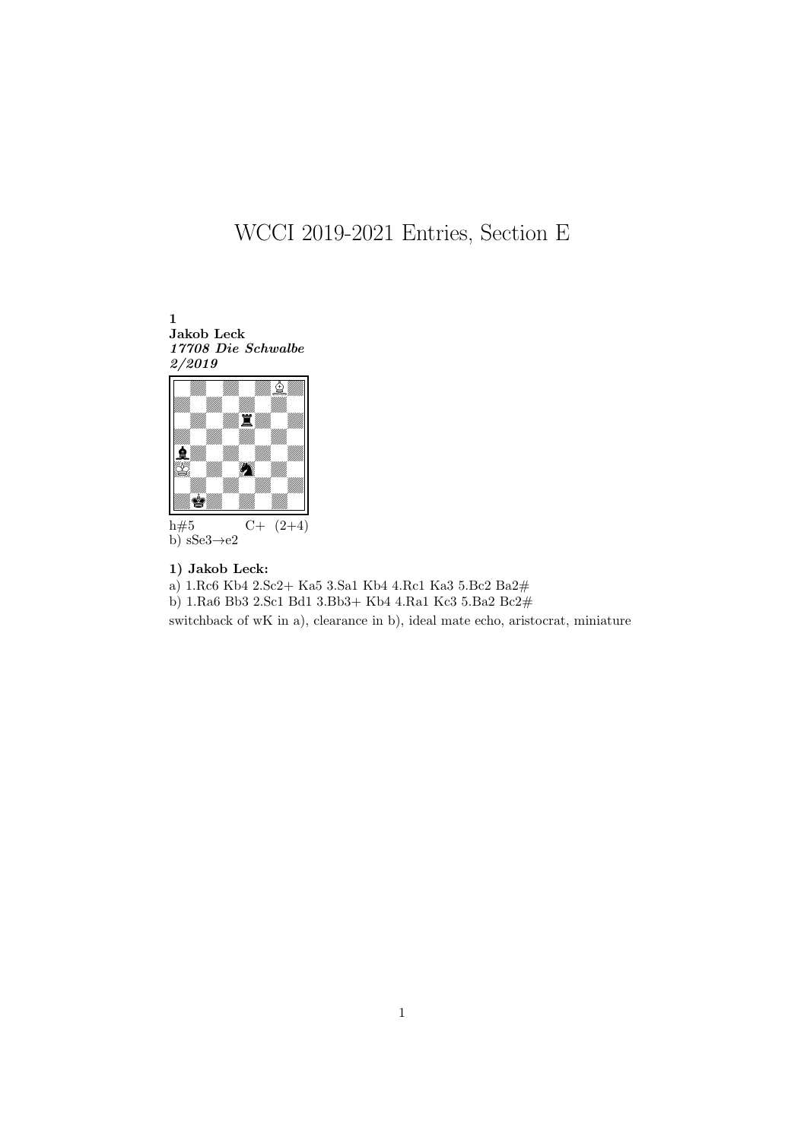## WCCI 2019-2021 Entries, Section E





1) Jakob Leck:

a) 1.Rc6 Kb4 2.Sc2+ Ka5 3.Sa1 Kb4 4.Rc1 Ka3 5.Bc2 Ba2#

b) 1.Ra6 Bb3 2.Sc1 Bd1 3.Bb3+ Kb4 4.Ra1 Kc3 5.Ba2 Bc2#

switchback of wK in a), clearance in b), ideal mate echo, aristocrat, miniature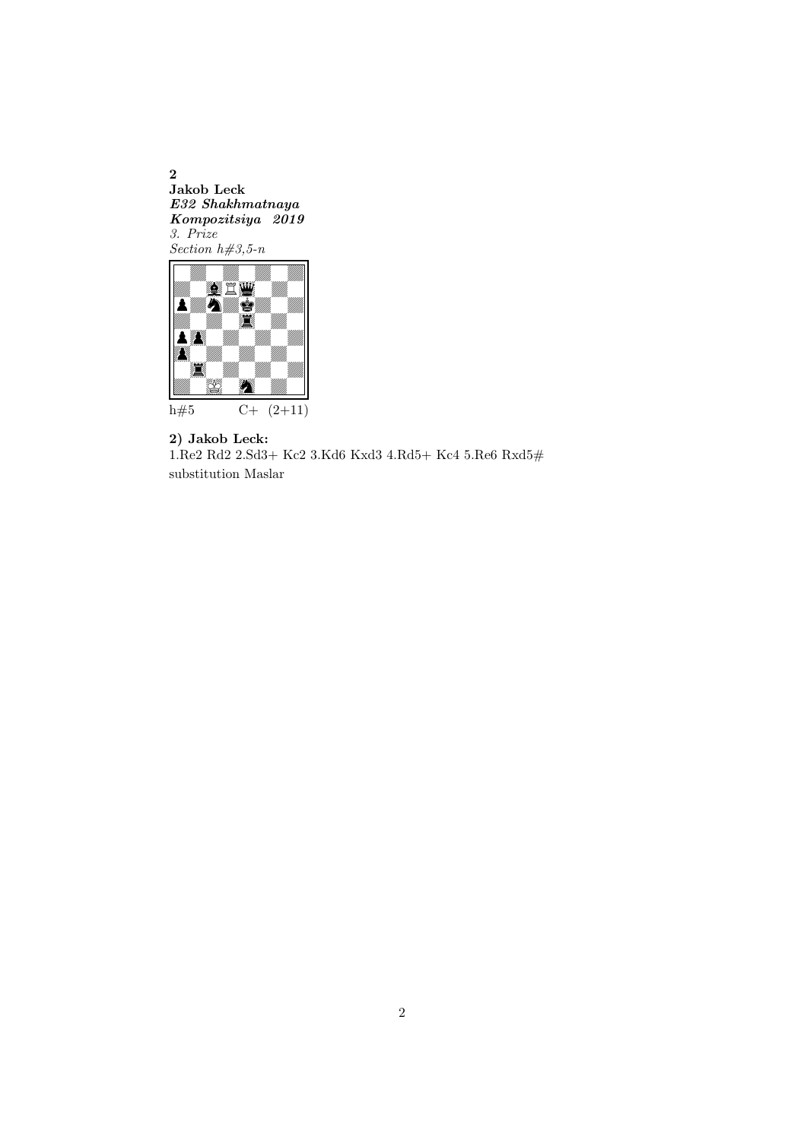2 Jakob Leck E32 Shakhmatnaya Kompozitsiya 2019 3. Prize Section  $h\#3, 5-n$ 



2) Jakob Leck: 1.Re2 Rd2 2.Sd3+ Kc2 3.Kd6 Kxd3 4.Rd5+ Kc4 5.Re6 Rxd5# substitution Maslar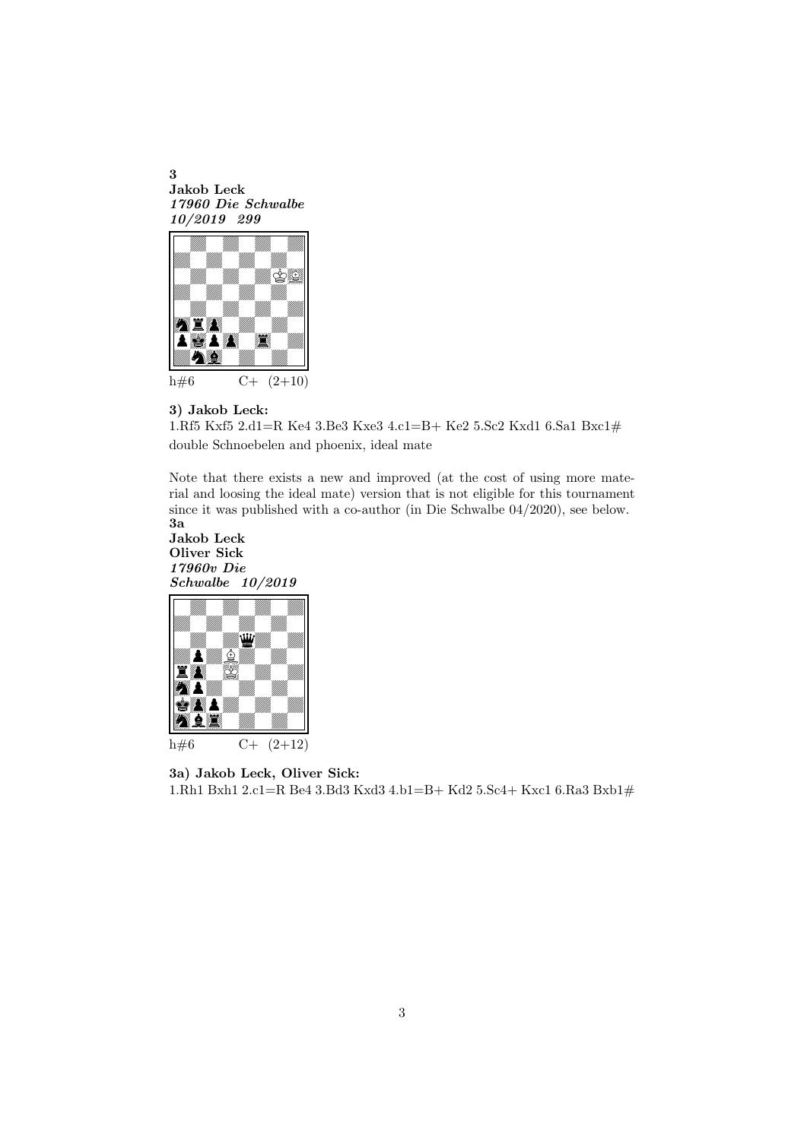3 Jakob Leck 17960 Die Schwalbe 10/2019 299



## 3) Jakob Leck:

1.Rf5 Kxf5 2.d1=R Ke4 3.Be3 Kxe3 4.c1=B+ Ke2 5.Sc2 Kxd1 6.Sa1 Bxc1# double Schnoebelen and phoenix, ideal mate

Note that there exists a new and improved (at the cost of using more material and loosing the ideal mate) version that is not eligible for this tournament since it was published with a co-author (in Die Schwalbe 04/2020), see below. 3a

Jakob Leck Oliver Sick 17960v Die Schwalbe 10/2019



3a) Jakob Leck, Oliver Sick: 1.Rh1 Bxh1 2.c1=R Be4 3.Bd3 Kxd3 4.b1=B+ Kd2 5.Sc4+ Kxc1 6.Ra3 Bxb1#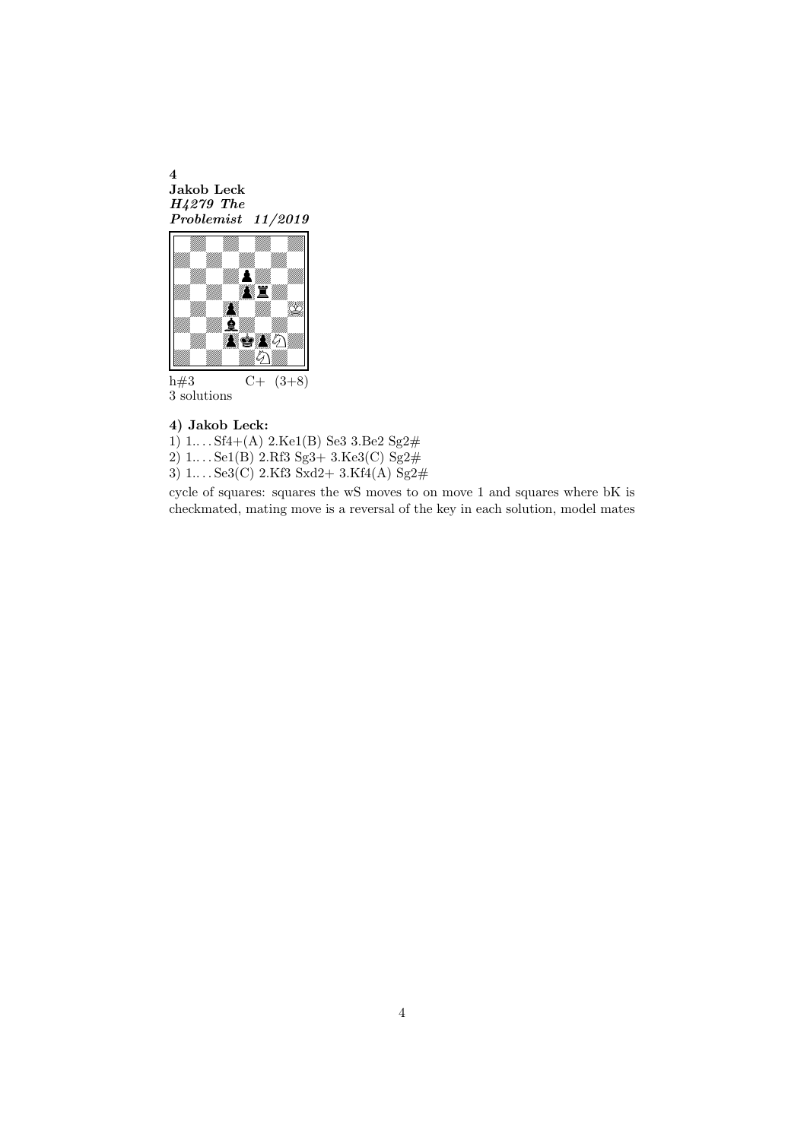4 Jakob Leck H4279 The Problemist 11/2019



h#3  $C+ (3+8)$ 3 solutions

## 4) Jakob Leck:

1)  $1...$  Sf4+(A)  $2$ Ke1(B) Se3  $3$ Be2 Sg2#

2)  $1...$  Se1(B)  $2.Rf3 Sg3+3.Ke3(C) Sg2#$ 

3)  $1...$   $Se3(C)$   $2.Kf3$   $Sxd2+$   $3.Kf4(A)$   $Sg2#$ 

cycle of squares: squares the wS moves to on move 1 and squares where bK is checkmated, mating move is a reversal of the key in each solution, model mates